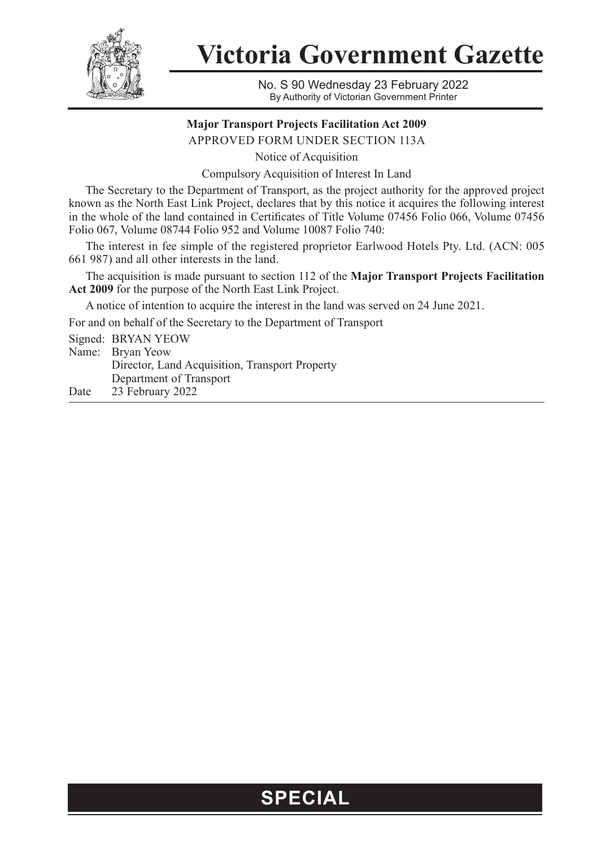

**Victoria Government Gazette**

No. S 90 Wednesday 23 February 2022 By Authority of Victorian Government Printer

## **Major Transport Projects Facilitation Act 2009**

APPROVED FORM UNDER SECTION 113A

Notice of Acquisition

Compulsory Acquisition of Interest In Land

The Secretary to the Department of Transport, as the project authority for the approved project known as the North East Link Project, declares that by this notice it acquires the following interest in the whole of the land contained in Certificates of Title Volume 07456 Folio 066, Volume 07456 Folio 067, Volume 08744 Folio 952 and Volume 10087 Folio 740:

The interest in fee simple of the registered proprietor Earlwood Hotels Pty. Ltd. (ACN: 005 661 987) and all other interests in the land.

The acquisition is made pursuant to section 112 of the **Major Transport Projects Facilitation Act 2009** for the purpose of the North East Link Project.

A notice of intention to acquire the interest in the land was served on 24 June 2021.

For and on behalf of the Secretary to the Department of Transport

Signed: BRYAN YEOW Name: Bryan Yeow Director, Land Acquisition, Transport Property Department of Transport

Date 23 February 2022

## **SPECIAL**